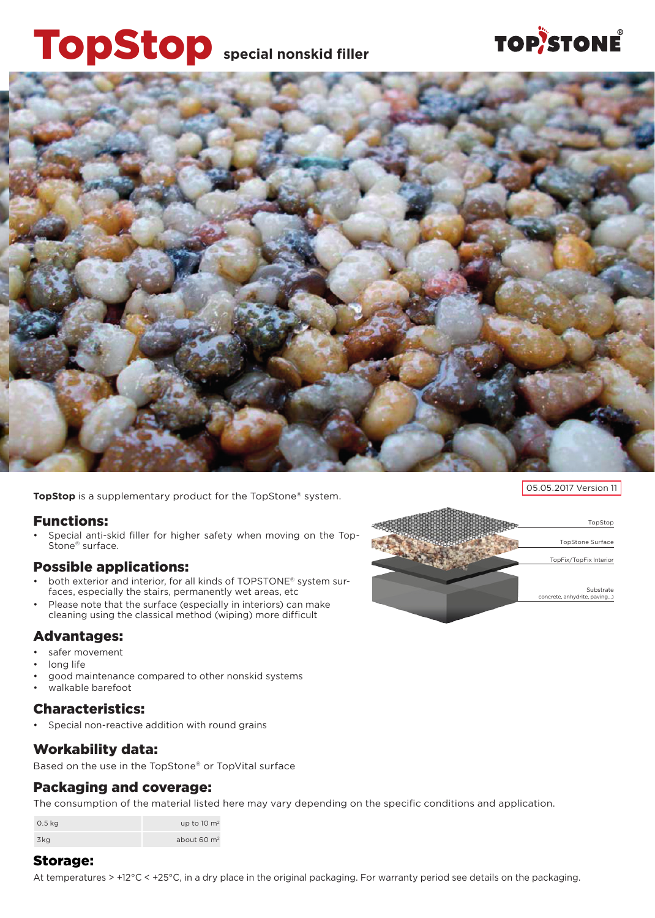# TopStop **special nonskid filler**

# **TOP/STONE**



**TopStop** is a supplementary product for the TopStone® system.

#### Functions:

Special anti-skid filler for higher safety when moving on the Top-Stone® surface.

#### Possible applications:

- both exterior and interior, for all kinds of TOPSTONE® system surfaces, especially the stairs, permanently wet areas, etc
- Please note that the surface (especially in interiors) can make cleaning using the classical method (wiping) more difficult

#### Advantages:

- safer movement
- long life
- good maintenance compared to other nonskid systems
- walkable barefoot

#### Characteristics:

Special non-reactive addition with round grains

#### Workability data:

Based on the use in the TopStone® or TopVital surface

#### Packaging and coverage:

The consumption of the material listed here may vary depending on the specific conditions and application.

| $0.5$ kg | up to 10 $\mathrm{m}^2$ |
|----------|-------------------------|
| 3kg      | about $60 \text{ m}^2$  |

#### Storage:

At temperatures > +12°C < +25°C, in a dry place in the original packaging. For warranty period see details on the packaging.



05.05.2017 Version 11